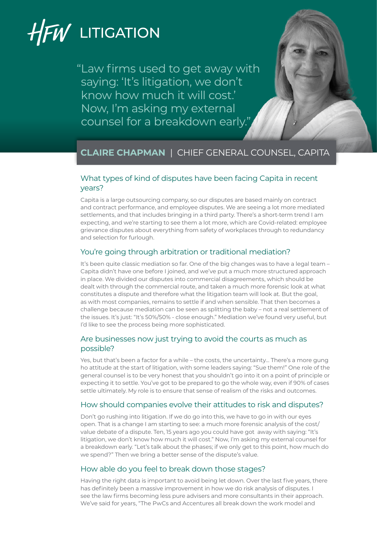# HFW LITIGATION

"Law firms used to get away with saying: 'It's litigation, we don't know how much it will cost.' Now, I'm asking my external counsel for a breakdown early."



# **CLAIRE CHAPMAN** | CHIEF GENERAL COUNSEL, CAPITA

# What types of kind of disputes have been facing Capita in recent years?

Capita is a large outsourcing company, so our disputes are based mainly on contract and contract performance, and employee disputes. We are seeing a lot more mediated settlements, and that includes bringing in a third party. There's a short-term trend I am expecting, and we're starting to see them a lot more, which are Covid-related: employee grievance disputes about everything from safety of workplaces through to redundancy and selection for furlough.

# You're going through arbitration or traditional mediation?

It's been quite classic mediation so far. One of the big changes was to have a legal team – Capita didn't have one before I joined, and we've put a much more structured approach in place. We divided our disputes into commercial disagreements, which should be dealt with through the commercial route, and taken a much more forensic look at what constitutes a dispute and therefore what the litigation team will look at. But the goal, as with most companies, remains to settle if and when sensible. That then becomes a challenge because mediation can be seen as splitting the baby – not a real settlement of the issues. It's just: "It's 50%/50% - close enough." Mediation we've found very useful, but I'd like to see the process being more sophisticated.

## Are businesses now just trying to avoid the courts as much as possible?

Yes, but that's been a factor for a while – the costs, the uncertainty… There's a more gung ho attitude at the start of litigation, with some leaders saying: "Sue them!" One role of the general counsel is to be very honest that you shouldn't go into it on a point of principle or expecting it to settle. You've got to be prepared to go the whole way, even if 90% of cases settle ultimately. My role is to ensure that sense of realism of the risks and outcomes.

# How should companies evolve their attitudes to risk and disputes?

Don't go rushing into litigation. If we do go into this, we have to go in with our eyes open. That is a change I am starting to see: a much more forensic analysis of the cost/ value debate of a dispute. Ten, 15 years ago you could have got away with saying: "It's litigation, we don't know how much it will cost." Now, I'm asking my external counsel for a breakdown early. "Let's talk about the phases; if we only get to this point, how much do we spend?" Then we bring a better sense of the dispute's value.

# How able do you feel to break down those stages?

Having the right data is important to avoid being let down. Over the last five years, there has definitely been a massive improvement in how we do risk analysis of disputes. I see the law firms becoming less pure advisers and more consultants in their approach. We've said for years, "The PwCs and Accentures all break down the work model and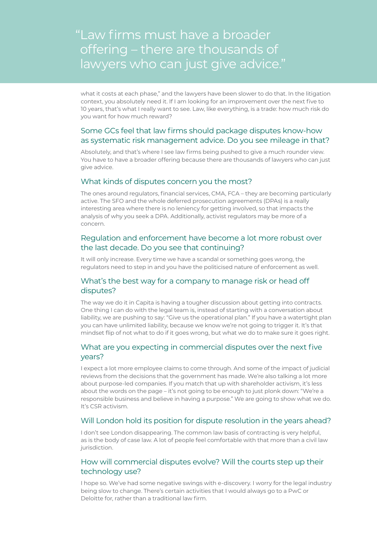# "Law firms must have a broader offering – there are thousands of lawyers who can just give advice."

what it costs at each phase," and the lawyers have been slower to do that. In the litigation context, you absolutely need it. If I am looking for an improvement over the next five to 10 years, that's what I really want to see. Law, like everything, is a trade: how much risk do you want for how much reward?

### Some GCs feel that law firms should package disputes know-how as systematic risk management advice. Do you see mileage in that?

Absolutely, and that's where I see law firms being pushed to give a much rounder view. You have to have a broader offering because there are thousands of lawyers who can just give advice.

#### What kinds of disputes concern you the most?

The ones around regulators, financial services, CMA, FCA – they are becoming particularly active. The SFO and the whole deferred prosecution agreements (DPAs) is a really interesting area where there is no leniency for getting involved, so that impacts the analysis of why you seek a DPA. Additionally, activist regulators may be more of a concern.

#### Regulation and enforcement have become a lot more robust over the last decade. Do you see that continuing?

It will only increase. Every time we have a scandal or something goes wrong, the regulators need to step in and you have the politicised nature of enforcement as well.

#### What's the best way for a company to manage risk or head off disputes?

The way we do it in Capita is having a tougher discussion about getting into contracts. One thing I can do with the legal team is, instead of starting with a conversation about liability, we are pushing to say: "Give us the operational plan." If you have a watertight plan you can have unlimited liability, because we know we're not going to trigger it. It's that mindset flip of not what to do if it goes wrong, but what we do to make sure it goes right.

#### What are you expecting in commercial disputes over the next five years?

I expect a lot more employee claims to come through. And some of the impact of judicial reviews from the decisions that the government has made. We're also talking a lot more about purpose-led companies. If you match that up with shareholder activism, it's less about the words on the page – it's not going to be enough to just plonk down: "We're a responsible business and believe in having a purpose." We are going to show what we do. It's CSR activism.

#### Will London hold its position for dispute resolution in the years ahead?

I don't see London disappearing. The common law basis of contracting is very helpful, as is the body of case law. A lot of people feel comfortable with that more than a civil law jurisdiction.

#### How will commercial disputes evolve? Will the courts step up their technology use?

I hope so. We've had some negative swings with e-discovery. I worry for the legal industry being slow to change. There's certain activities that I would always go to a PwC or Deloitte for, rather than a traditional law firm.